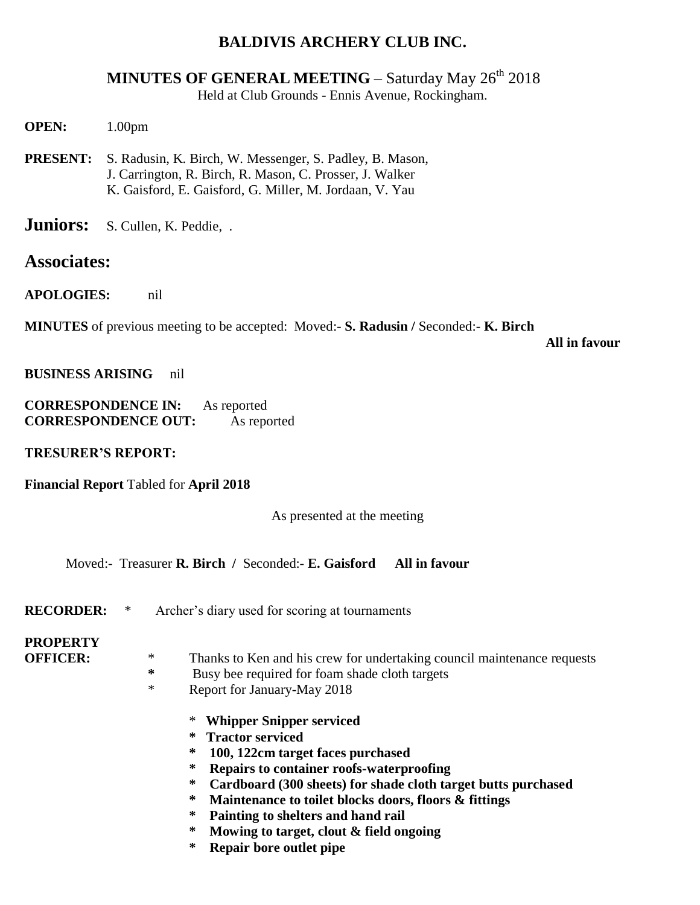### **BALDIVIS ARCHERY CLUB INC.**

# **MINUTES OF GENERAL MEETING – Saturday May 26<sup>th</sup> 2018**

Held at Club Grounds - Ennis Avenue, Rockingham.

**OPEN:** 1.00pm

**PRESENT:** S. Radusin, K. Birch, W. Messenger, S. Padley, B. Mason, J. Carrington, R. Birch, R. Mason, C. Prosser, J. Walker K. Gaisford, E. Gaisford, G. Miller, M. Jordaan, V. Yau

**Juniors:** S. Cullen, K. Peddie, .

### **Associates:**

**APOLOGIES:** nil

**MINUTES** of previous meeting to be accepted: Moved:- **S. Radusin /** Seconded:- **K. Birch**

 **All in favour**

**BUSINESS ARISING** nil

| <b>CORRESPONDENCE IN:</b>  | As reported |
|----------------------------|-------------|
| <b>CORRESPONDENCE OUT:</b> | As reported |

**TRESURER'S REPORT:**

**Financial Report** Tabled for **April 2018**

As presented at the meeting

Moved:- Treasurer **R. Birch /** Seconded:- **E. Gaisford All in favour**

**RECORDER:** \* Archer's diary used for scoring at tournaments

### **PROPERTY**

- 
- **OFFICER:**  $*$  Thanks to Ken and his crew for undertaking council maintenance requests<br> $*$  Busy bee required for form shade cloth targets
	- **\*** Busy bee required for foam shade cloth targets
	- \* Report for January-May 2018
		- \* **Whipper Snipper serviced**
		- **\* Tractor serviced**
		- **\* 100, 122cm target faces purchased**
		- **\* Repairs to container roofs-waterproofing**
		- **\* Cardboard (300 sheets) for shade cloth target butts purchased**
		- **\* Maintenance to toilet blocks doors, floors & fittings**
		- **\* Painting to shelters and hand rail**
		- **\* Mowing to target, clout & field ongoing**
		- **\* Repair bore outlet pipe**